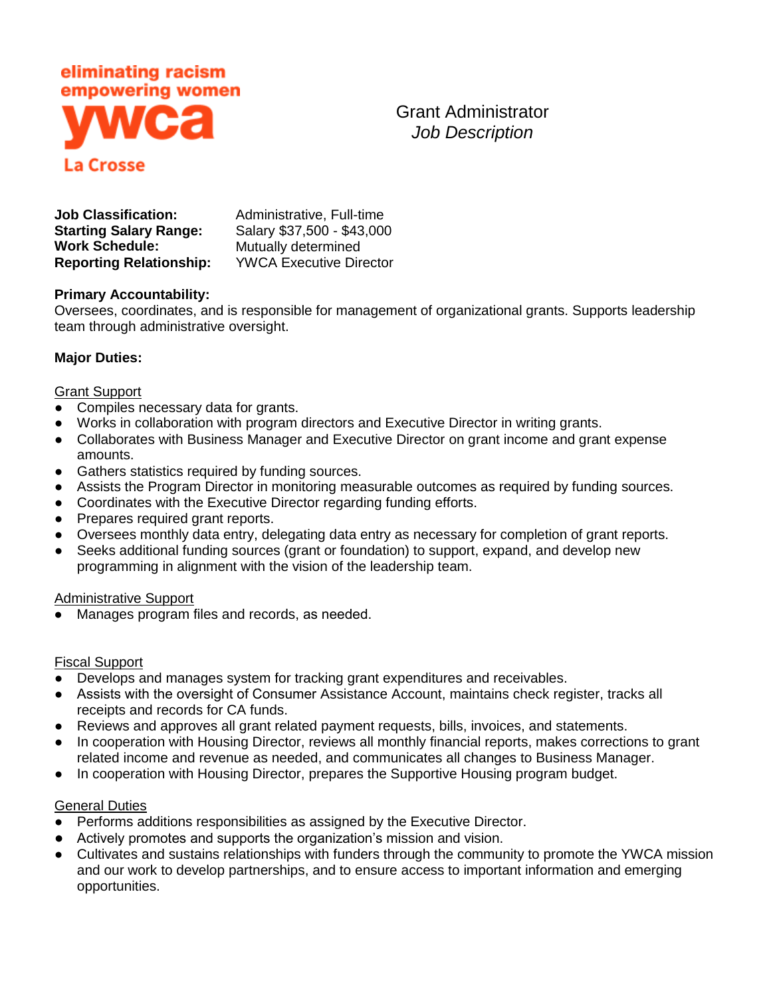

Grant Administrator *Job Description*

| <b>Job Classification:</b>     | Administrative, Full-time      |
|--------------------------------|--------------------------------|
| <b>Starting Salary Range:</b>  | Salary \$37,500 - \$43,000     |
| <b>Work Schedule:</b>          | Mutually determined            |
| <b>Reporting Relationship:</b> | <b>YWCA Executive Director</b> |

### **Primary Accountability:**

Oversees, coordinates, and is responsible for management of organizational grants. Supports leadership team through administrative oversight.

## **Major Duties:**

#### **Grant Support**

- Compiles necessary data for grants.
- Works in collaboration with program directors and Executive Director in writing grants.
- Collaborates with Business Manager and Executive Director on grant income and grant expense amounts.
- Gathers statistics required by funding sources.
- Assists the Program Director in monitoring measurable outcomes as required by funding sources.
- Coordinates with the Executive Director regarding funding efforts.
- Prepares required grant reports.
- Oversees monthly data entry, delegating data entry as necessary for completion of grant reports.
- Seeks additional funding sources (grant or foundation) to support, expand, and develop new programming in alignment with the vision of the leadership team.

#### Administrative Support

● Manages program files and records, as needed.

#### Fiscal Support

- Develops and manages system for tracking grant expenditures and receivables.
- Assists with the oversight of Consumer Assistance Account, maintains check register, tracks all receipts and records for CA funds.
- Reviews and approves all grant related payment requests, bills, invoices, and statements.
- In cooperation with Housing Director, reviews all monthly financial reports, makes corrections to grant related income and revenue as needed, and communicates all changes to Business Manager.
- In cooperation with Housing Director, prepares the Supportive Housing program budget.

#### **General Duties**

- Performs additions responsibilities as assigned by the Executive Director.
- Actively promotes and supports the organization's mission and vision.
- Cultivates and sustains relationships with funders through the community to promote the YWCA mission and our work to develop partnerships, and to ensure access to important information and emerging opportunities.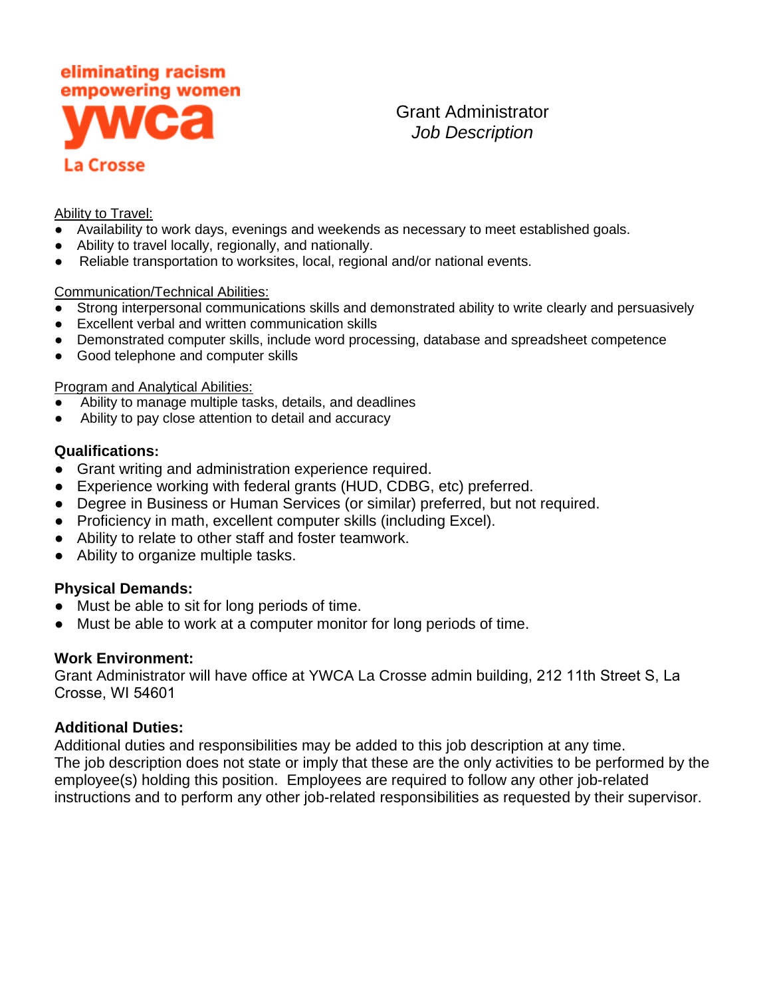

Grant Administrator *Job Description*

### Ability to Travel:

- Availability to work days, evenings and weekends as necessary to meet established goals.
- Ability to travel locally, regionally, and nationally.
- Reliable transportation to worksites, local, regional and/or national events.

### Communication/Technical Abilities:

- Strong interpersonal communications skills and demonstrated ability to write clearly and persuasively
- Excellent verbal and written communication skills
- Demonstrated computer skills, include word processing, database and spreadsheet competence
- Good telephone and computer skills

### Program and Analytical Abilities:

- Ability to manage multiple tasks, details, and deadlines
- Ability to pay close attention to detail and accuracy

## **Qualifications:**

- Grant writing and administration experience required.
- Experience working with federal grants (HUD, CDBG, etc) preferred.
- Degree in Business or Human Services (or similar) preferred, but not required.
- Proficiency in math, excellent computer skills (including Excel).
- Ability to relate to other staff and foster teamwork.
- Ability to organize multiple tasks.

# **Physical Demands:**

- Must be able to sit for long periods of time.
- Must be able to work at a computer monitor for long periods of time.

# **Work Environment:**

Grant Administrator will have office at YWCA La Crosse admin building, 212 11th Street S, La Crosse, WI 54601

# **Additional Duties:**

Additional duties and responsibilities may be added to this job description at any time. The job description does not state or imply that these are the only activities to be performed by the employee(s) holding this position. Employees are required to follow any other job-related instructions and to perform any other job-related responsibilities as requested by their supervisor.